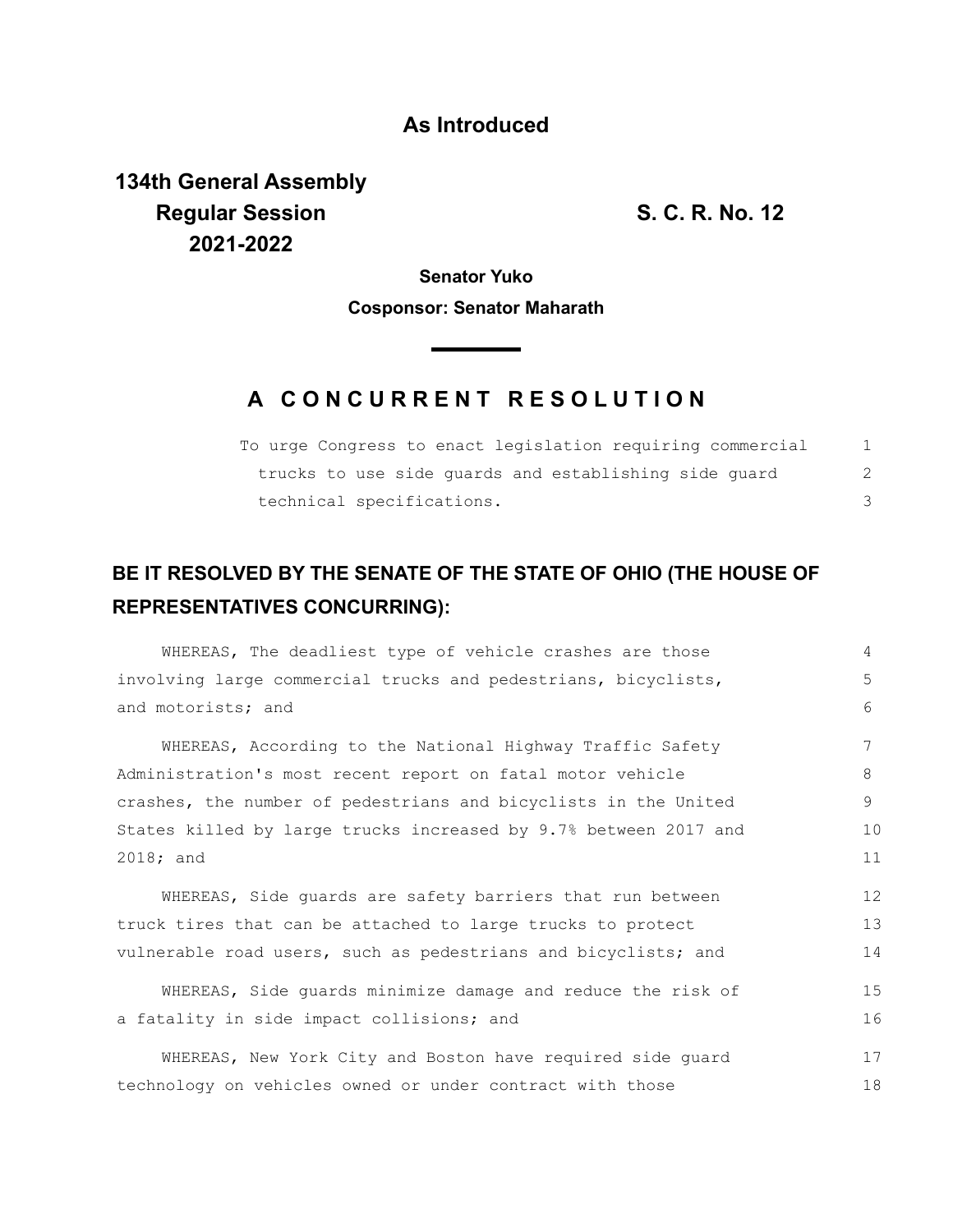## **As Introduced**

**134th General Assembly Regular Session S. C. R. No. 12 2021-2022**

**Senator Yuko**

**Cosponsor: Senator Maharath**

**Contract Contract** 

## **A C O N C U R R E N T R E S O L U T I O N**

| To urge Congress to enact legislation requiring commercial |  |
|------------------------------------------------------------|--|
| trucks to use side quards and establishing side quard      |  |
| technical specifications.                                  |  |

## **BE IT RESOLVED BY THE SENATE OF THE STATE OF OHIO (THE HOUSE OF REPRESENTATIVES CONCURRING):**

| WHEREAS, The deadliest type of vehicle crashes are those         | 4  |
|------------------------------------------------------------------|----|
| involving large commercial trucks and pedestrians, bicyclists,   | 5  |
| and motorists; and                                               | 6  |
|                                                                  |    |
| WHEREAS, According to the National Highway Traffic Safety        |    |
| Administration's most recent report on fatal motor vehicle       | 8  |
| crashes, the number of pedestrians and bicyclists in the United  | 9  |
| States killed by large trucks increased by 9.7% between 2017 and | 10 |
| $2018;$ and                                                      | 11 |
|                                                                  |    |
| WHEREAS, Side quards are safety barriers that run between        | 12 |
| truck tires that can be attached to large trucks to protect      | 13 |
| vulnerable road users, such as pedestrians and bicyclists; and   | 14 |
|                                                                  |    |
| WHEREAS, Side guards minimize damage and reduce the risk of      | 15 |
| a fatality in side impact collisions; and                        | 16 |
| WHEREAS, New York City and Boston have required side quard       | 17 |
| technology on vehicles owned or under contract with those        | 18 |
|                                                                  |    |